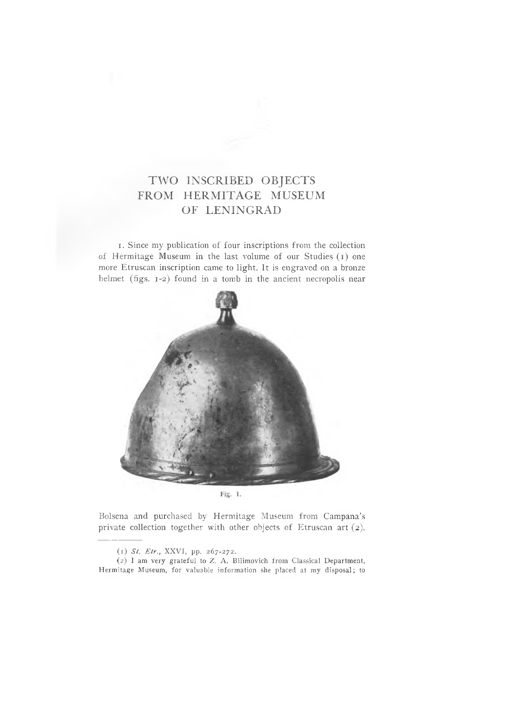## TWO INSCRIBED OBJECTS FROM HERMITAGE MUSEUM OF LENINGRAD

I. Since my publication of four inscriptions from the collection of Hermitage Museum in the last volume of our Studies (i) one more Etruscan inscription came to light. It is engraved on a bronze helmet (figs. 1-2) found in a tomb in the ancient necropolis near



Bolsena and purchased by Hermitage Museum from Campana's private collection together with other objects of Etruscan art (2).

(2) I am very grateful to Z. A. Bilimovich from Classical Department, Hermitage Museum, for valuable information she placed at my disposal; to

<sup>(1)</sup> *Si. Etr.,* XXVI, pp. 267-272.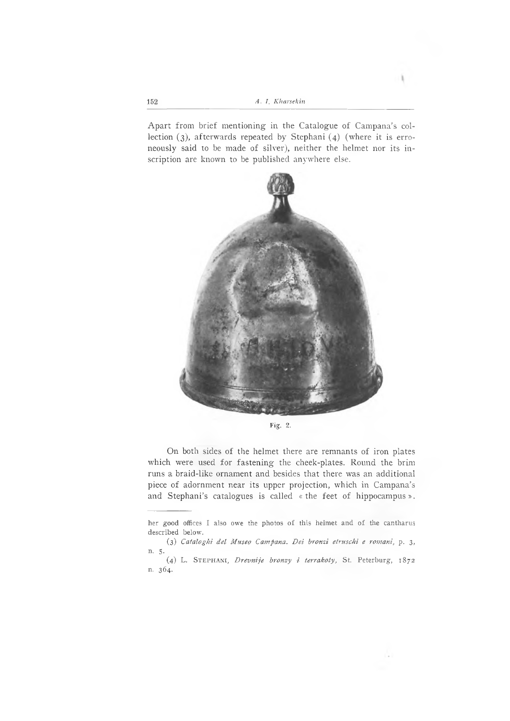Apart from brief mentioning in the Catalogue of Campana's collection (3), afterwards repeated by Stephani (4) (where it is erroneously said to be made of silver), neither the helmet nor its inscription are known to be published anywhere else.





On both sides of the helmet there are remnants of iron plates which were used for fastening the cheek-plates. Round the brim runs a braid-like ornament and besides that there was an additional piece of adornment near its upper projection, which in Campana's and Stephani's catalogues is called «the feet of hippocampus».

her good offices I also owe the photos of this helmet and of the cantharus described below.

<sup>(3)</sup> *Cataloghi del Museo Campana. Dei bronzi etruschi e romani,* p. 3, η. 5·

<sup>(4)</sup> L. St eph a n i, *Drevnije bronzy i terrakoty,* St. Peterburg, 1872 n. 364.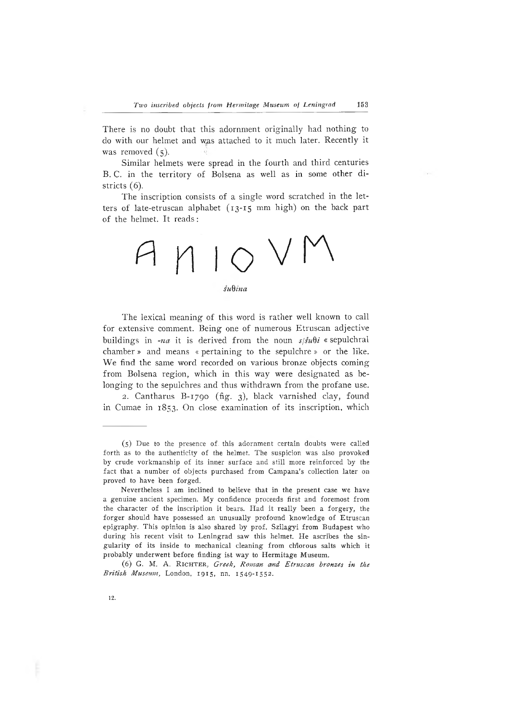There is no doubt that this adornment originally had nothing to do with our helmet and w.as attached to it much later. Recently it was removed  $(5)$ .

Similar helmets were spread in the fourth and third centuries B. C. in the territory of Bolsena as well as in some other districts (6).

The inscription consists of a single word scratched in the letters of late-etruscan alphabet (13-15 mm high) on the back part of the helmet. It reads :



## *supina*

The lexical meaning of this word is rather well known to call for extensive comment. Being one of numerous Etruscan adjective buildings in *-na* it is derived from the noun  $s/su\theta i$  « sepulchral chamber » and means « pertaining to the sepulchre » or the like. We find the same word recorded on various bronze objects coming from Bolsena region, which in this way were designated as belonging to the sepulchres and thus withdrawn from the profane use.

2. Cantharus B-1790 (fig. 3), black varnished clay, found in Cumae in 1853. On close examination of its inscription, which

<sup>(5)</sup> Due to the presence of. this adornment certain doubts were called forth as to the authenticity of the helmet. The suspicion was also provoked by crude vorkmanship of its inner surface and still more reinforced by the fact that a number of objects purchased from Campana's collection later on proved to have been forged.

Nevertheless I am inclined to believe that in the present case we have a genuine ancient specimen. My confidence proceeds first and foremost from the character of the inscription it bears. Had it really been a forgery, the forger should have possessed an unusually profound knowledge of Etruscan epigraphy. This opinion is also shared by prof. Szilagyi from Budapest who during his recent visit to Leningrad saw this helmet. He ascribes the singularity of its inside to mechanical cleaning from chlorous salts which it probably underwent before finding ist way to Hermitage Museum.

<sup>(6)</sup> G. M. A. RICHTER, Greek, Roman and Etruscan bronzes in the *British Museum,* London, 1915, nn. 1549-1552.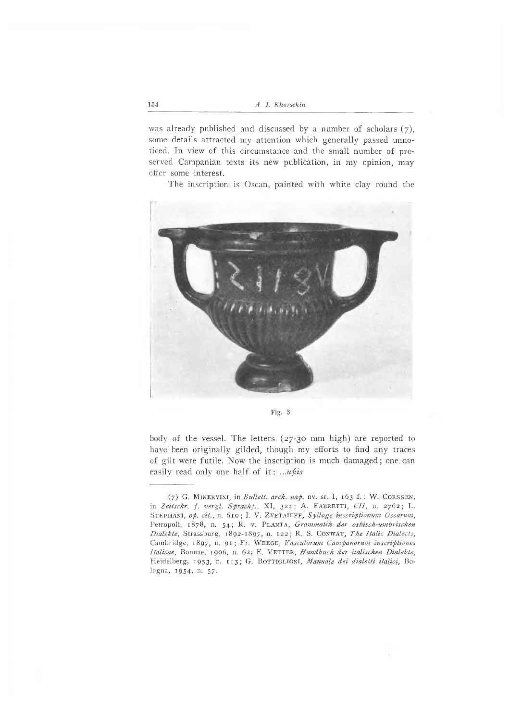was already published and discussed by a number of scholars  $(7)$ , some details attracted my attention which generally passed unnoticed. In view of this circumstance and the small number of preserved Campanian texts its new publication, in my opinion, may offer some interest.

The inscription is Oscan, painted with white clay round the



Fig. 3

body of the vessel. The letters (27-30 mm high) are reported to have been originally gilded, though my efforts to find any traces of gilt were futile. Now the inscription is much damaged; one can easily read only one half of it : *...ufiis*

 $(7)$  G. MINERVINI, in *Bullett. arch. nap.* nv. sr. I, 163 f. : W. CORSSEN, in Zeitschr. f. vergl. Spracht., XI, 324; A. FABRETTI, CII, n. 2762; L. STEPHANI, op. cit., n. 610; I. V. ZVETAIEFF, Sylloge inscriptionum Oscarum, Petropoli, 1878, n. 54; R. v. PLANTA, *Grammatik der oskisch-umbrischen Dialekte,* Strassburg, 1892-1897, n. i22; R. S. Conway , *The Italic Dialects,* Cambridge, 1897, n. 91; Fr. Weege , *Vasculorum Campanorum inscriptiones Italicae*, Bonnae, 1906, n. 62; E. VETTER, *Handbuch der italischen Dialekte*, Heidelberg, 1953, n. 113; G. BOTTIGLIONI, Manuale dei dialetti italici, Bologna, 1954, η. 57.